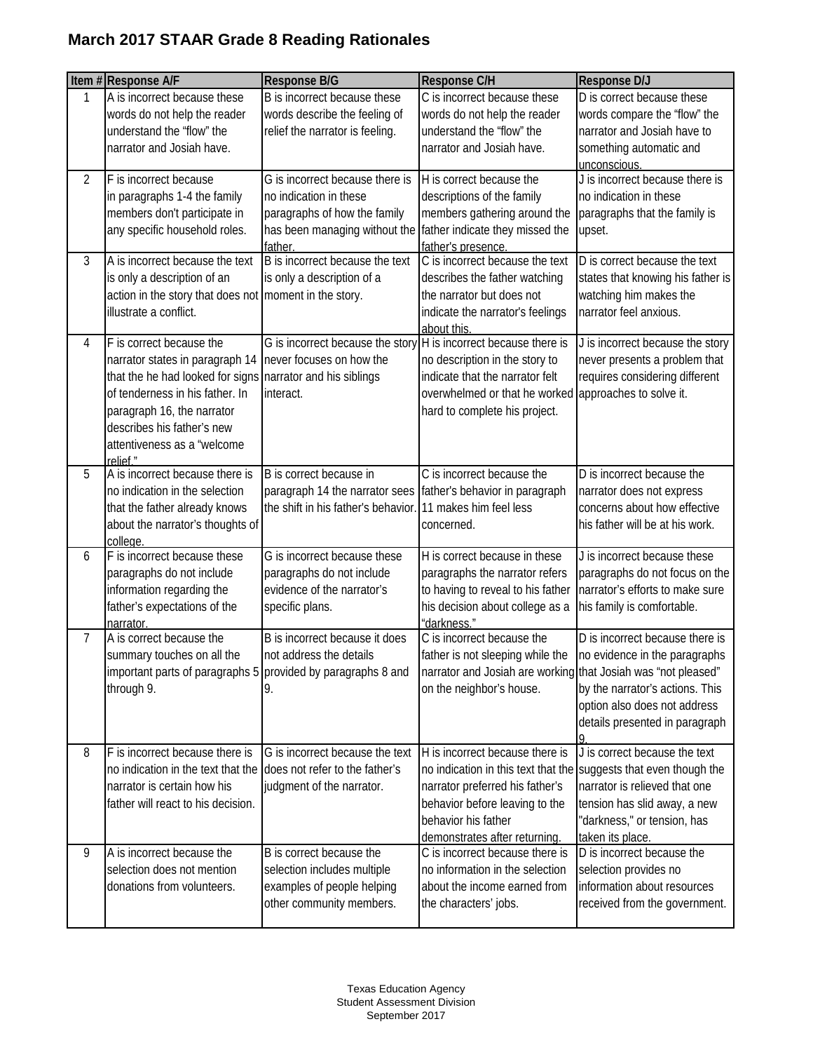|                | Item #Response A/F                                                                                                                                                                                                                                                  | Response B/G                                                                                                                          | Response C/H                                                                                                                                                                                                                      | Response D/J                                                                                                                                                          |
|----------------|---------------------------------------------------------------------------------------------------------------------------------------------------------------------------------------------------------------------------------------------------------------------|---------------------------------------------------------------------------------------------------------------------------------------|-----------------------------------------------------------------------------------------------------------------------------------------------------------------------------------------------------------------------------------|-----------------------------------------------------------------------------------------------------------------------------------------------------------------------|
| 1              | A is incorrect because these<br>words do not help the reader<br>understand the "flow" the<br>narrator and Josiah have.                                                                                                                                              | B is incorrect because these<br>words describe the feeling of<br>relief the narrator is feeling.                                      | C is incorrect because these<br>words do not help the reader<br>understand the "flow" the<br>narrator and Josiah have.                                                                                                            | D is correct because these<br>words compare the "flow" the<br>narrator and Josiah have to<br>something automatic and<br>unconscious.                                  |
| $\overline{2}$ | F is incorrect because<br>in paragraphs 1-4 the family<br>members don't participate in<br>any specific household roles.                                                                                                                                             | G is incorrect because there is<br>no indication in these<br>paragraphs of how the family<br>has been managing without the<br>father. | H is correct because the<br>descriptions of the family<br>members gathering around the<br>father indicate they missed the<br>father's presence.                                                                                   | J is incorrect because there is<br>no indication in these<br>paragraphs that the family is<br>upset.                                                                  |
| 3              | A is incorrect because the text<br>is only a description of an<br>action in the story that does not moment in the story.<br>illustrate a conflict.                                                                                                                  | B is incorrect because the text<br>is only a description of a                                                                         | C is incorrect because the text<br>describes the father watching<br>the narrator but does not<br>indicate the narrator's feelings<br>about this.                                                                                  | D is correct because the text<br>states that knowing his father is<br>watching him makes the<br>narrator feel anxious.                                                |
| 4              | F is correct because the<br>narrator states in paragraph 14<br>that the he had looked for signs narrator and his siblings<br>of tenderness in his father. In<br>paragraph 16, the narrator<br>describes his father's new<br>attentiveness as a "welcome<br>relief." | G is incorrect because the story H is incorrect because there is<br>never focuses on how the<br>interact.                             | no description in the story to<br>indicate that the narrator felt<br>overwhelmed or that he worked approaches to solve it.<br>hard to complete his project.                                                                       | J is incorrect because the story<br>never presents a problem that<br>requires considering different                                                                   |
| 5              | A is incorrect because there is<br>no indication in the selection<br>that the father already knows<br>about the narrator's thoughts of<br>college.                                                                                                                  | B is correct because in<br>paragraph 14 the narrator sees<br>the shift in his father's behavior                                       | C is incorrect because the<br>father's behavior in paragraph<br>11 makes him feel less<br>concerned.                                                                                                                              | D is incorrect because the<br>narrator does not express<br>concerns about how effective<br>his father will be at his work.                                            |
| 6              | F is incorrect because these<br>paragraphs do not include<br>information regarding the<br>father's expectations of the<br>narrator.                                                                                                                                 | G is incorrect because these<br>paragraphs do not include<br>evidence of the narrator's<br>specific plans.                            | H is correct because in these<br>paragraphs the narrator refers<br>to having to reveal to his father<br>his decision about college as a<br>"darkness."                                                                            | J is incorrect because these<br>paragraphs do not focus on the<br>narrator's efforts to make sure<br>his family is comfortable.                                       |
| $\overline{7}$ | A is correct because the<br>summary touches on all the<br>important parts of paragraphs 5 provided by paragraphs 8 and<br>through 9.                                                                                                                                | B is incorrect because it does<br>not address the details<br>9.                                                                       | C is incorrect because the<br>father is not sleeping while the<br>narrator and Josiah are working that Josiah was "not pleased"<br>on the neighbor's house.                                                                       | D is incorrect because there is<br>no evidence in the paragraphs<br>by the narrator's actions. This<br>option also does not address<br>details presented in paragraph |
| 8              | F is incorrect because there is<br>no indication in the text that the<br>narrator is certain how his<br>father will react to his decision.                                                                                                                          | G is incorrect because the text<br>does not refer to the father's<br>judgment of the narrator.                                        | H is incorrect because there is<br>no indication in this text that the suggests that even though the<br>narrator preferred his father's<br>behavior before leaving to the<br>behavior his father<br>demonstrates after returning. | J is correct because the text<br>narrator is relieved that one<br>tension has slid away, a new<br>"darkness," or tension, has<br>taken its place.                     |
| 9              | A is incorrect because the<br>selection does not mention<br>donations from volunteers.                                                                                                                                                                              | B is correct because the<br>selection includes multiple<br>examples of people helping<br>other community members.                     | C is incorrect because there is<br>no information in the selection<br>about the income earned from<br>the characters' jobs.                                                                                                       | D is incorrect because the<br>selection provides no<br>information about resources<br>received from the government.                                                   |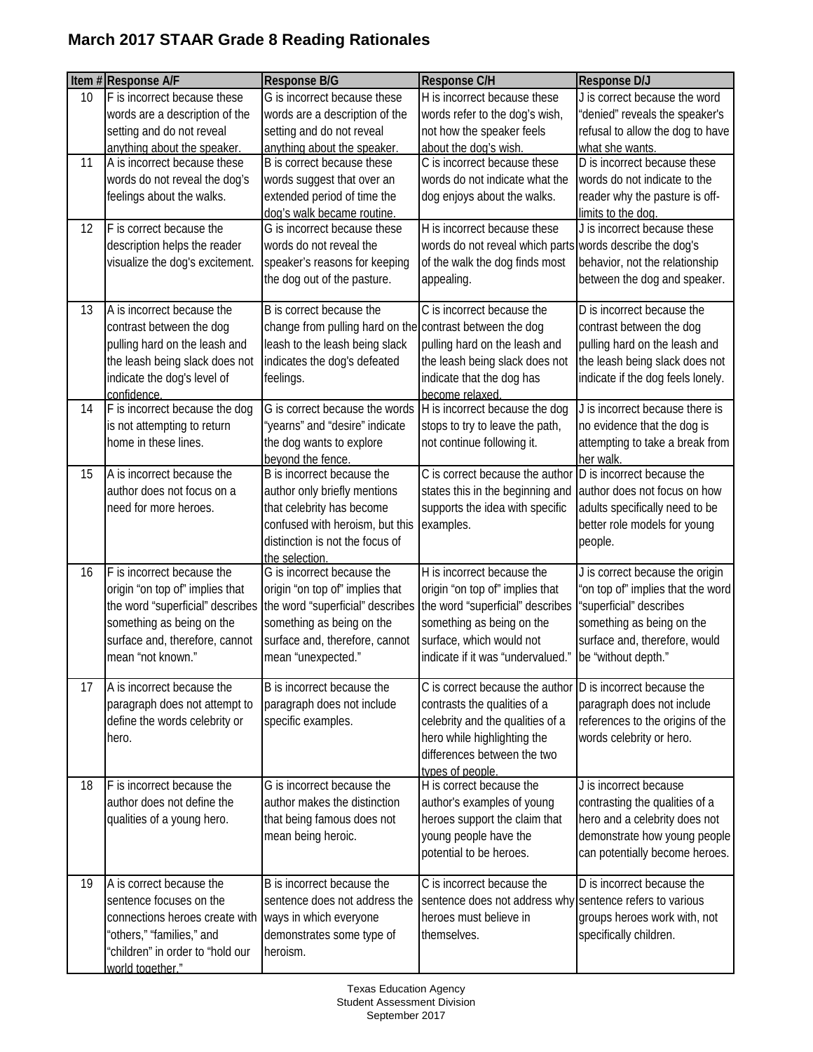|    | Item #Response A/F               | Response B/G                                             | Response C/H                                               | <b>Response D/J</b>                                           |
|----|----------------------------------|----------------------------------------------------------|------------------------------------------------------------|---------------------------------------------------------------|
| 10 | F is incorrect because these     | G is incorrect because these                             | H is incorrect because these                               | J is correct because the word                                 |
|    | words are a description of the   | words are a description of the                           | words refer to the dog's wish,                             | "denied" reveals the speaker's                                |
|    | setting and do not reveal        | setting and do not reveal                                | not how the speaker feels                                  | refusal to allow the dog to have                              |
|    | anything about the speaker.      | anything about the speaker.                              | about the dog's wish.                                      | what she wants.                                               |
| 11 | A is incorrect because these     | B is correct because these                               | C is incorrect because these                               | D is incorrect because these                                  |
|    | words do not reveal the dog's    | words suggest that over an                               | words do not indicate what the                             | words do not indicate to the                                  |
|    | feelings about the walks.        | extended period of time the                              | dog enjoys about the walks.                                | reader why the pasture is off-                                |
|    |                                  | dog's walk became routine.                               |                                                            | limits to the dog.                                            |
| 12 | F is correct because the         | G is incorrect because these                             | H is incorrect because these                               | J is incorrect because these                                  |
|    | description helps the reader     | words do not reveal the                                  | words do not reveal which parts words describe the dog's   |                                                               |
|    | visualize the dog's excitement.  | speaker's reasons for keeping                            | of the walk the dog finds most                             | behavior, not the relationship                                |
|    |                                  | the dog out of the pasture.                              | appealing.                                                 | between the dog and speaker.                                  |
| 13 | A is incorrect because the       | B is correct because the                                 | C is incorrect because the                                 | D is incorrect because the                                    |
|    | contrast between the dog         | change from pulling hard on the contrast between the dog |                                                            | contrast between the dog                                      |
|    | pulling hard on the leash and    | leash to the leash being slack                           | pulling hard on the leash and                              | pulling hard on the leash and                                 |
|    | the leash being slack does not   | indicates the dog's defeated                             | the leash being slack does not                             | the leash being slack does not                                |
|    | indicate the dog's level of      | feelings.                                                | indicate that the dog has                                  | indicate if the dog feels lonely.                             |
|    | confidence.                      |                                                          | become relaxed.                                            |                                                               |
| 14 | F is incorrect because the dog   | G is correct because the words                           | H is incorrect because the dog                             | J is incorrect because there is                               |
|    | is not attempting to return      | "yearns" and "desire" indicate                           | stops to try to leave the path,                            | no evidence that the dog is                                   |
|    | home in these lines.             | the dog wants to explore                                 | not continue following it.                                 | attempting to take a break from                               |
|    |                                  | beyond the fence.                                        |                                                            | her walk.                                                     |
| 15 | A is incorrect because the       | B is incorrect because the                               | C is correct because the author                            | D is incorrect because the                                    |
|    | author does not focus on a       | author only briefly mentions                             | states this in the beginning and                           | author does not focus on how                                  |
|    | need for more heroes.            | that celebrity has become                                | supports the idea with specific                            | adults specifically need to be                                |
|    |                                  | confused with heroism, but this                          | examples.                                                  | better role models for young                                  |
|    |                                  | distinction is not the focus of                          |                                                            | people.                                                       |
|    |                                  | the selection                                            |                                                            |                                                               |
| 16 | F is incorrect because the       | G is incorrect because the                               | H is incorrect because the                                 | J is correct because the origin                               |
|    | origin "on top of" implies that  | origin "on top of" implies that                          | origin "on top of" implies that                            | 'on top of" implies that the word                             |
|    | the word "superficial" describes | the word "superficial" describes                         | the word "superficial" describes                           | "superficial" describes                                       |
|    | something as being on the        | something as being on the                                | something as being on the                                  | something as being on the                                     |
|    | surface and, therefore, cannot   | surface and, therefore, cannot                           | surface, which would not                                   | surface and, therefore, would                                 |
|    | mean "not known."                | mean "unexpected."                                       | indicate if it was "undervalued."                          | be "without depth."                                           |
|    |                                  | B is incorrect because the                               | C is correct because the author D is incorrect because the |                                                               |
| 17 | A is incorrect because the       |                                                          |                                                            |                                                               |
|    | paragraph does not attempt to    | paragraph does not include                               | contrasts the qualities of a                               | paragraph does not include                                    |
|    | define the words celebrity or    | specific examples.                                       | celebrity and the qualities of a                           | references to the origins of the                              |
|    | hero.                            |                                                          | hero while highlighting the                                | words celebrity or hero.                                      |
|    |                                  |                                                          | differences between the two                                |                                                               |
| 18 | F is incorrect because the       | G is incorrect because the                               | types of people.<br>H is correct because the               | J is incorrect because                                        |
|    | author does not define the       | author makes the distinction                             | author's examples of young                                 | contrasting the qualities of a                                |
|    | qualities of a young hero.       | that being famous does not                               |                                                            |                                                               |
|    |                                  |                                                          | heroes support the claim that                              | hero and a celebrity does not<br>demonstrate how young people |
|    |                                  | mean being heroic.                                       | young people have the<br>potential to be heroes.           |                                                               |
|    |                                  |                                                          |                                                            | can potentially become heroes.                                |
| 19 | A is correct because the         | B is incorrect because the                               | C is incorrect because the                                 | D is incorrect because the                                    |
|    | sentence focuses on the          | sentence does not address the                            | sentence does not address why sentence refers to various   |                                                               |
|    | connections heroes create with   | ways in which everyone                                   | heroes must believe in                                     | groups heroes work with, not                                  |
|    | "others," "families," and        | demonstrates some type of                                | themselves.                                                | specifically children.                                        |
|    | "children" in order to "hold our | heroism.                                                 |                                                            |                                                               |
|    | world together."                 |                                                          |                                                            |                                                               |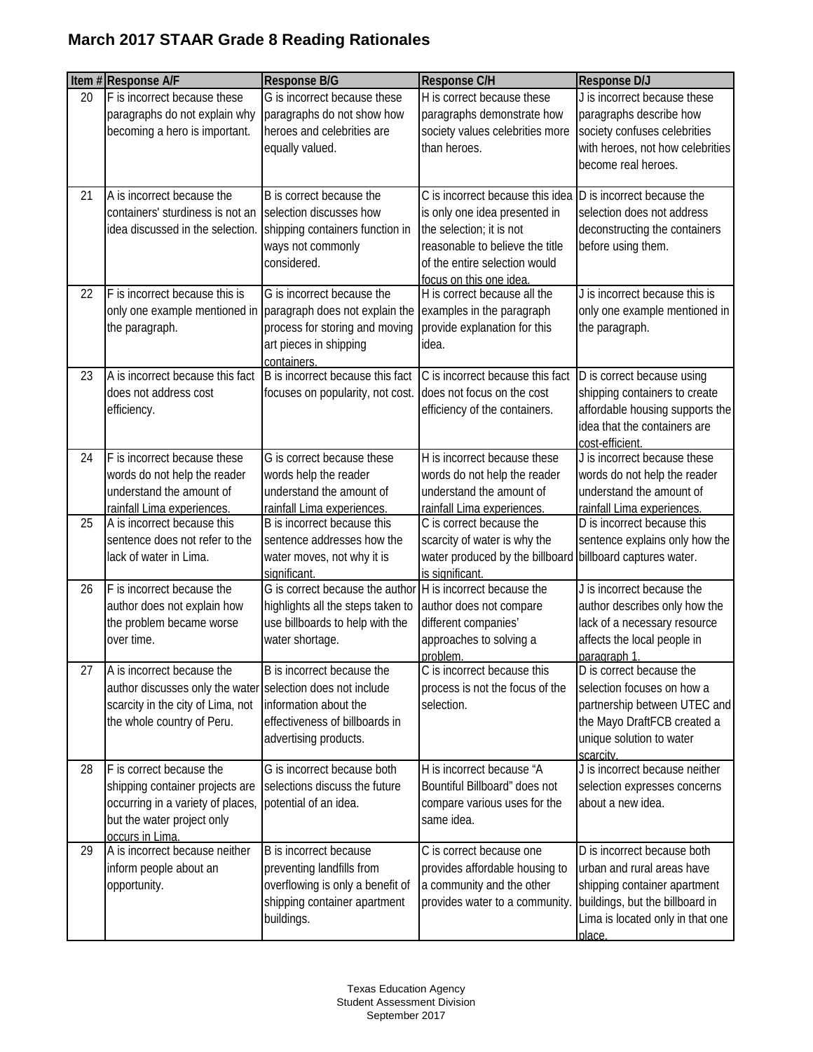|    | Item #Response A/F                                                                                                                                          | <b>Response B/G</b>                                                                                                                                                   | <b>Response C/H</b>                                                                                                                                                                          | <b>Response D/J</b>                                                                                                                                                        |
|----|-------------------------------------------------------------------------------------------------------------------------------------------------------------|-----------------------------------------------------------------------------------------------------------------------------------------------------------------------|----------------------------------------------------------------------------------------------------------------------------------------------------------------------------------------------|----------------------------------------------------------------------------------------------------------------------------------------------------------------------------|
| 20 | F is incorrect because these<br>paragraphs do not explain why<br>becoming a hero is important.                                                              | G is incorrect because these<br>paragraphs do not show how<br>heroes and celebrities are<br>equally valued.                                                           | H is correct because these<br>paragraphs demonstrate how<br>society values celebrities more<br>than heroes.                                                                                  | J is incorrect because these<br>paragraphs describe how<br>society confuses celebrities<br>with heroes, not how celebrities<br>become real heroes.                         |
| 21 | A is incorrect because the<br>containers' sturdiness is not an selection discusses how<br>idea discussed in the selection.                                  | B is correct because the<br>shipping containers function in<br>ways not commonly<br>considered.                                                                       | C is incorrect because this idea<br>is only one idea presented in<br>the selection; it is not<br>reasonable to believe the title<br>of the entire selection would<br>focus on this one idea. | D is incorrect because the<br>selection does not address<br>deconstructing the containers<br>before using them.                                                            |
| 22 | F is incorrect because this is<br>the paragraph.                                                                                                            | G is incorrect because the<br>only one example mentioned in paragraph does not explain the<br>process for storing and moving<br>art pieces in shipping<br>containers. | H is correct because all the<br>examples in the paragraph<br>provide explanation for this<br>idea.                                                                                           | J is incorrect because this is<br>only one example mentioned in<br>the paragraph.                                                                                          |
| 23 | A is incorrect because this fact<br>does not address cost<br>efficiency.                                                                                    | B is incorrect because this fact<br>focuses on popularity, not cost.                                                                                                  | C is incorrect because this fact<br>does not focus on the cost<br>efficiency of the containers.                                                                                              | D is correct because using<br>shipping containers to create<br>affordable housing supports the<br>idea that the containers are<br>cost-efficient.                          |
| 24 | F is incorrect because these<br>words do not help the reader<br>understand the amount of<br>rainfall Lima experiences.                                      | G is correct because these<br>words help the reader<br>understand the amount of<br>rainfall Lima experiences.                                                         | H is incorrect because these<br>words do not help the reader<br>understand the amount of<br>rainfall Lima experiences.                                                                       | J is incorrect because these<br>words do not help the reader<br>understand the amount of<br>rainfall Lima experiences.                                                     |
| 25 | A is incorrect because this<br>sentence does not refer to the<br>lack of water in Lima.                                                                     | B is incorrect because this<br>sentence addresses how the<br>water moves, not why it is<br>significant.                                                               | C is correct because the<br>scarcity of water is why the<br>water produced by the billboard<br>is significant.                                                                               | D is incorrect because this<br>sentence explains only how the<br>billboard captures water.                                                                                 |
| 26 | F is incorrect because the<br>author does not explain how<br>the problem became worse<br>over time.                                                         | G is correct because the author<br>highlights all the steps taken to<br>use billboards to help with the<br>water shortage.                                            | H is incorrect because the<br>author does not compare<br>different companies'<br>approaches to solving a<br>problem.                                                                         | J is incorrect because the<br>author describes only how the<br>lack of a necessary resource<br>affects the local people in<br>paragraph 1.                                 |
| 27 | A is incorrect because the<br>author discusses only the water selection does not include<br>scarcity in the city of Lima, not<br>the whole country of Peru. | B is incorrect because the<br>information about the<br>effectiveness of billboards in<br>advertising products.                                                        | C is incorrect because this<br>process is not the focus of the<br>selection.                                                                                                                 | D is correct because the<br>selection focuses on how a<br>partnership between UTEC and<br>the Mayo DraftFCB created a<br>unique solution to water<br>scarcity.             |
| 28 | F is correct because the<br>shipping container projects are<br>occurring in a variety of places,<br>but the water project only<br>occurs in Lima.           | G is incorrect because both<br>selections discuss the future<br>potential of an idea.                                                                                 | H is incorrect because "A<br>Bountiful Billboard" does not<br>compare various uses for the<br>same idea.                                                                                     | J is incorrect because neither<br>selection expresses concerns<br>about a new idea.                                                                                        |
| 29 | A is incorrect because neither<br>inform people about an<br>opportunity.                                                                                    | B is incorrect because<br>preventing landfills from<br>overflowing is only a benefit of<br>shipping container apartment<br>buildings.                                 | C is correct because one<br>provides affordable housing to<br>a community and the other<br>provides water to a community.                                                                    | D is incorrect because both<br>urban and rural areas have<br>shipping container apartment<br>buildings, but the billboard in<br>Lima is located only in that one<br>place. |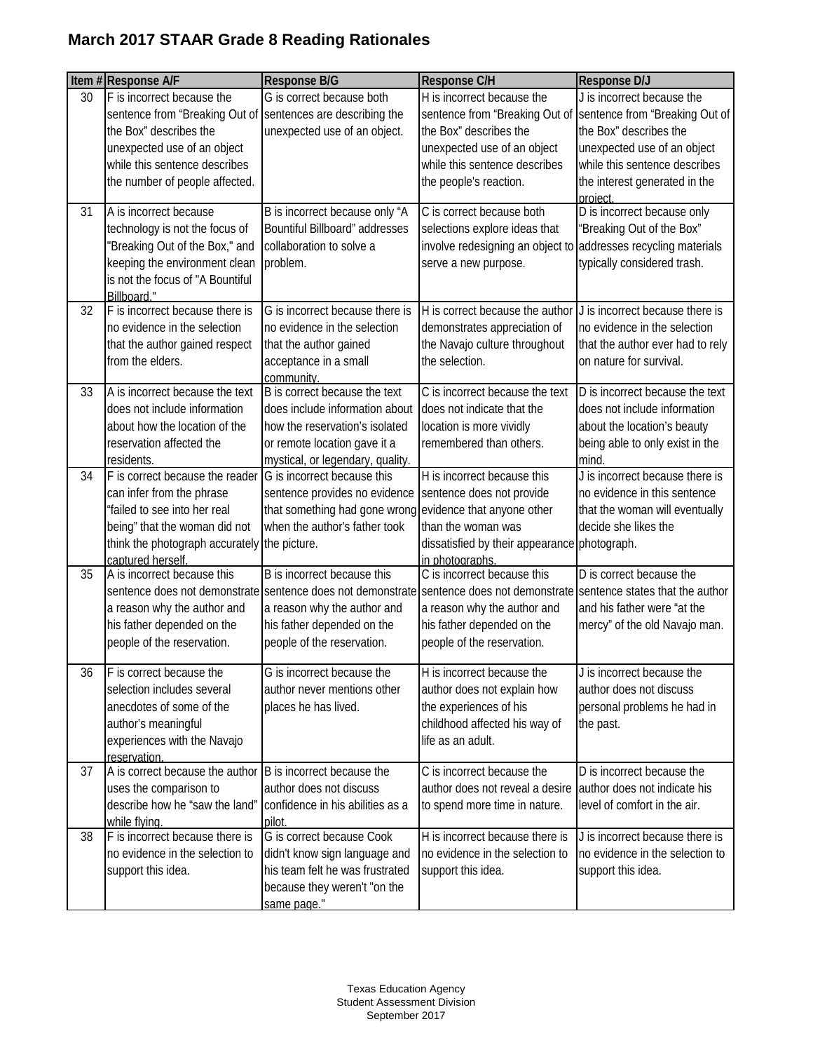|    | Item #Response A/F                                                                                                                                                                                                    | Response B/G                                                                                                                                                          | Response C/H                                                                                                                                                                                                                                        | <b>Response D/J</b>                                                                                                                                                                                                                |
|----|-----------------------------------------------------------------------------------------------------------------------------------------------------------------------------------------------------------------------|-----------------------------------------------------------------------------------------------------------------------------------------------------------------------|-----------------------------------------------------------------------------------------------------------------------------------------------------------------------------------------------------------------------------------------------------|------------------------------------------------------------------------------------------------------------------------------------------------------------------------------------------------------------------------------------|
| 30 | F is incorrect because the<br>sentence from "Breaking Out of Sentences are describing the<br>the Box" describes the<br>unexpected use of an object<br>while this sentence describes<br>the number of people affected. | G is correct because both<br>unexpected use of an object.                                                                                                             | H is incorrect because the<br>the Box" describes the<br>unexpected use of an object<br>while this sentence describes<br>the people's reaction.                                                                                                      | J is incorrect because the<br>sentence from "Breaking Out of Sentence from "Breaking Out of<br>the Box" describes the<br>unexpected use of an object<br>while this sentence describes<br>the interest generated in the<br>project. |
| 31 | A is incorrect because<br>technology is not the focus of<br>"Breaking Out of the Box," and<br>keeping the environment clean<br>is not the focus of "A Bountiful<br>Billboard."                                        | B is incorrect because only "A<br>Bountiful Billboard" addresses<br>collaboration to solve a<br>problem.                                                              | C is correct because both<br>selections explore ideas that<br>involve redesigning an object to<br>serve a new purpose.                                                                                                                              | D is incorrect because only<br>"Breaking Out of the Box"<br>addresses recycling materials<br>typically considered trash.                                                                                                           |
| 32 | F is incorrect because there is<br>no evidence in the selection<br>that the author gained respect<br>from the elders.                                                                                                 | G is incorrect because there is<br>no evidence in the selection<br>that the author gained<br>acceptance in a small<br>community.                                      | H is correct because the author<br>demonstrates appreciation of<br>the Navajo culture throughout<br>the selection.                                                                                                                                  | J is incorrect because there is<br>no evidence in the selection<br>that the author ever had to rely<br>on nature for survival.                                                                                                     |
| 33 | A is incorrect because the text<br>does not include information<br>about how the location of the<br>reservation affected the<br>residents.                                                                            | B is correct because the text<br>does include information about<br>how the reservation's isolated<br>or remote location gave it a<br>mystical, or legendary, quality. | C is incorrect because the text<br>does not indicate that the<br>location is more vividly<br>remembered than others.                                                                                                                                | D is incorrect because the text<br>does not include information<br>about the location's beauty<br>being able to only exist in the<br>mind.                                                                                         |
| 34 | F is correct because the reader<br>can infer from the phrase<br>"failed to see into her real<br>being" that the woman did not<br>think the photograph accurately the picture.<br>captured herself.                    | G is incorrect because this<br>sentence provides no evidence<br>that something had gone wrong<br>when the author's father took                                        | H is incorrect because this<br>sentence does not provide<br>evidence that anyone other<br>than the woman was<br>dissatisfied by their appearance photograph.<br>in photographs.                                                                     | J is incorrect because there is<br>no evidence in this sentence<br>that the woman will eventually<br>decide she likes the                                                                                                          |
| 35 | A is incorrect because this<br>a reason why the author and<br>his father depended on the<br>people of the reservation.                                                                                                | B is incorrect because this<br>a reason why the author and<br>his father depended on the<br>people of the reservation.                                                | C is incorrect because this<br>sentence does not demonstrate sentence does not demonstrate sentence does not demonstrate sentence states that the author<br>a reason why the author and<br>his father depended on the<br>people of the reservation. | D is correct because the<br>and his father were "at the<br>mercy" of the old Navajo man.                                                                                                                                           |
| 36 | F is correct because the<br>selection includes several<br>anecdotes of some of the<br>author's meaningful<br>experiences with the Navajo<br>reservation.                                                              | G is incorrect because the<br>author never mentions other<br>places he has lived.                                                                                     | H is incorrect because the<br>author does not explain how<br>the experiences of his<br>childhood affected his way of<br>life as an adult.                                                                                                           | J is incorrect because the<br>author does not discuss<br>personal problems he had in<br>the past.                                                                                                                                  |
| 37 | A is correct because the author<br>uses the comparison to<br>describe how he "saw the land"<br>while flying.                                                                                                          | B is incorrect because the<br>author does not discuss<br>confidence in his abilities as a<br>pilot.                                                                   | C is incorrect because the<br>author does not reveal a desire<br>to spend more time in nature.                                                                                                                                                      | D is incorrect because the<br>author does not indicate his<br>level of comfort in the air.                                                                                                                                         |
| 38 | F is incorrect because there is<br>no evidence in the selection to<br>support this idea.                                                                                                                              | G is correct because Cook<br>didn't know sign language and<br>his team felt he was frustrated<br>because they weren't "on the<br>same page."                          | H is incorrect because there is<br>no evidence in the selection to<br>support this idea.                                                                                                                                                            | J is incorrect because there is<br>no evidence in the selection to<br>support this idea.                                                                                                                                           |